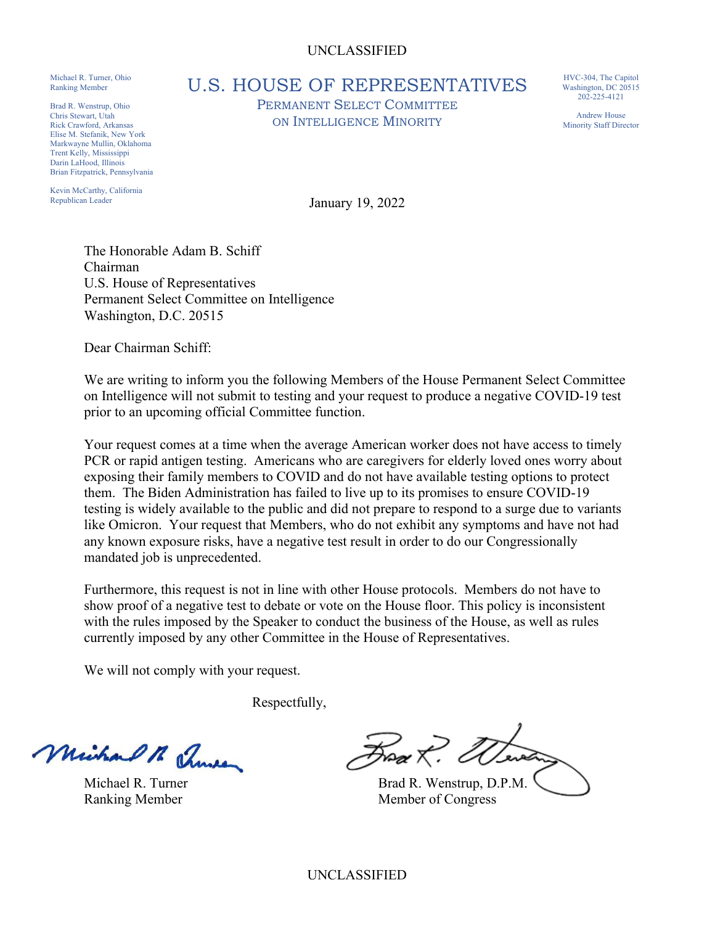## UNCLASSIFIED

Michael R. Turner, Ohio Ranking Member

Brad R. Wenstrup, Ohio Chris Stewart, Utah Rick Crawford, Arkansas Elise M. Stefanik, New York Markwayne Mullin, Oklahoma Trent Kelly, Mississippi Darin LaHood, Illinois Brian Fitzpatrick, Pennsylvania

Kevin McCarthy, California Republican Leader

U.S. HOUSE OF REPRESENTATIVES

PERMANENT SELECT COMMITTEE ON INTELLIGENCE MINORITY

HVC-304, The Capitol Washington, DC 20515 202-225-4121

Andrew House Minority Staff Director

January 19, 2022

The Honorable Adam B. Schiff Chairman U.S. House of Representatives Permanent Select Committee on Intelligence Washington, D.C. 20515

Dear Chairman Schiff:

We are writing to inform you the following Members of the House Permanent Select Committee on Intelligence will not submit to testing and your request to produce a negative COVID-19 test prior to an upcoming official Committee function.

Your request comes at a time when the average American worker does not have access to timely PCR or rapid antigen testing. Americans who are caregivers for elderly loved ones worry about exposing their family members to COVID and do not have available testing options to protect them. The Biden Administration has failed to live up to its promises to ensure COVID-19 testing is widely available to the public and did not prepare to respond to a surge due to variants like Omicron. Your request that Members, who do not exhibit any symptoms and have not had any known exposure risks, have a negative test result in order to do our Congressionally mandated job is unprecedented.

Furthermore, this request is not in line with other House protocols. Members do not have to show proof of a negative test to debate or vote on the House floor. This policy is inconsistent with the rules imposed by the Speaker to conduct the business of the House, as well as rules currently imposed by any other Committee in the House of Representatives.

We will not comply with your request.

Respectfully,

Michael R Thurs

Froa $\mathcal{K}$ . A

Michael R. Turner Brad R. Wenstrup, D.P.M. Ranking Member **Member** Member of Congress

UNCLASSIFIED